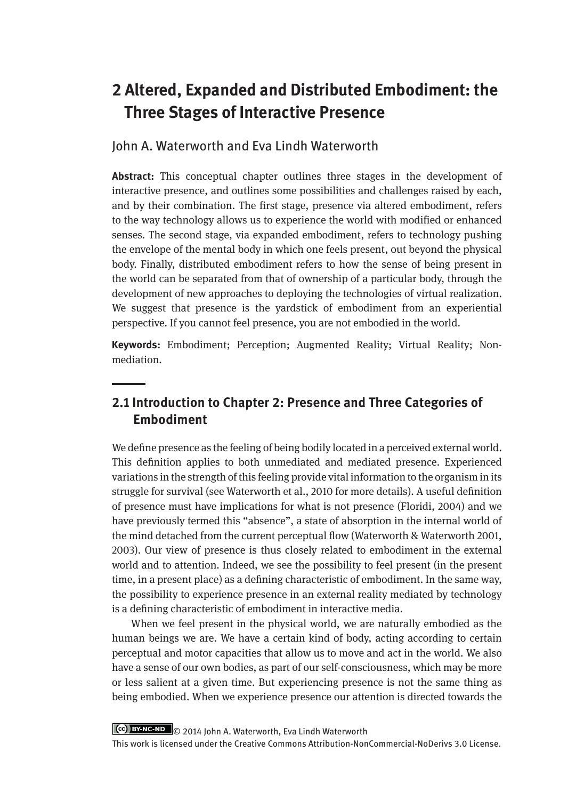# **2 Altered, Expanded and Distributed Embodiment: the Three Stages of Interactive Presence**

John A. Waterworth and Eva Lindh Waterworth

**Abstract:** This conceptual chapter outlines three stages in the development of interactive presence, and outlines some possibilities and challenges raised by each, and by their combination. The first stage, presence via altered embodiment, refers to the way technology allows us to experience the world with modified or enhanced senses. The second stage, via expanded embodiment, refers to technology pushing the envelope of the mental body in which one feels present, out beyond the physical body. Finally, distributed embodiment refers to how the sense of being present in the world can be separated from that of ownership of a particular body, through the development of new approaches to deploying the technologies of virtual realization. We suggest that presence is the yardstick of embodiment from an experiential perspective. If you cannot feel presence, you are not embodied in the world.

**Keywords:** Embodiment; Perception; Augmented Reality; Virtual Reality; Nonmediation.

## **2.1 Introduction to Chapter 2: Presence and Three Categories of Embodiment**

We define presence as the feeling of being bodily located in a perceived external world. This definition applies to both unmediated and mediated presence. Experienced variations in the strength of this feeling provide vital information to the organism in its struggle for survival (see Waterworth et al., 2010 for more details). A useful definition of presence must have implications for what is not presence (Floridi, 2004) and we have previously termed this "absence", a state of absorption in the internal world of the mind detached from the current perceptual flow (Waterworth & Waterworth 2001, 2003). Our view of presence is thus closely related to embodiment in the external world and to attention. Indeed, we see the possibility to feel present (in the present time, in a present place) as a defining characteristic of embodiment. In the same way, the possibility to experience presence in an external reality mediated by technology is a defining characteristic of embodiment in interactive media.

When we feel present in the physical world, we are naturally embodied as the human beings we are. We have a certain kind of body, acting according to certain perceptual and motor capacities that allow us to move and act in the world. We also have a sense of our own bodies, as part of our self-consciousness, which may be more or less salient at a given time. But experiencing presence is not the same thing as being embodied. When we experience presence our attention is directed towards the

Ccc) BY-NC-ND © 2014 John A. Waterworth, Eva Lindh Waterworth

This work is licensed under the Creative Commons Attribution-NonCommercial-NoDerivs 3.0 License.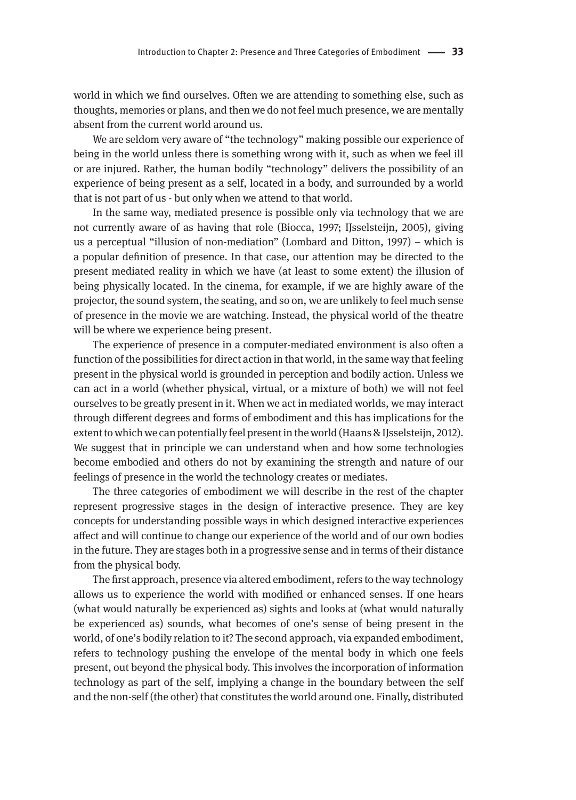world in which we find ourselves. Often we are attending to something else, such as thoughts, memories or plans, and then we do not feel much presence, we are mentally absent from the current world around us.

We are seldom very aware of "the technology" making possible our experience of being in the world unless there is something wrong with it, such as when we feel ill or are injured. Rather, the human bodily "technology" delivers the possibility of an experience of being present as a self, located in a body, and surrounded by a world that is not part of us - but only when we attend to that world.

In the same way, mediated presence is possible only via technology that we are not currently aware of as having that role (Biocca, 1997; IJsselsteijn, 2005), giving us a perceptual "illusion of non-mediation" (Lombard and Ditton, 1997) – which is a popular definition of presence. In that case, our attention may be directed to the present mediated reality in which we have (at least to some extent) the illusion of being physically located. In the cinema, for example, if we are highly aware of the projector, the sound system, the seating, and so on, we are unlikely to feel much sense of presence in the movie we are watching. Instead, the physical world of the theatre will be where we experience being present.

The experience of presence in a computer-mediated environment is also often a function of the possibilities for direct action in that world, in the same way that feeling present in the physical world is grounded in perception and bodily action. Unless we can act in a world (whether physical, virtual, or a mixture of both) we will not feel ourselves to be greatly present in it. When we act in mediated worlds, we may interact through different degrees and forms of embodiment and this has implications for the extent to which we can potentially feel present in the world (Haans & IJsselsteijn, 2012). We suggest that in principle we can understand when and how some technologies become embodied and others do not by examining the strength and nature of our feelings of presence in the world the technology creates or mediates.

The three categories of embodiment we will describe in the rest of the chapter represent progressive stages in the design of interactive presence. They are key concepts for understanding possible ways in which designed interactive experiences affect and will continue to change our experience of the world and of our own bodies in the future. They are stages both in a progressive sense and in terms of their distance from the physical body.

The first approach, presence via altered embodiment, refers to the way technology allows us to experience the world with modified or enhanced senses. If one hears (what would naturally be experienced as) sights and looks at (what would naturally be experienced as) sounds, what becomes of one's sense of being present in the world, of one's bodily relation to it? The second approach, via expanded embodiment, refers to technology pushing the envelope of the mental body in which one feels present, out beyond the physical body. This involves the incorporation of information technology as part of the self, implying a change in the boundary between the self and the non-self (the other) that constitutes the world around one. Finally, distributed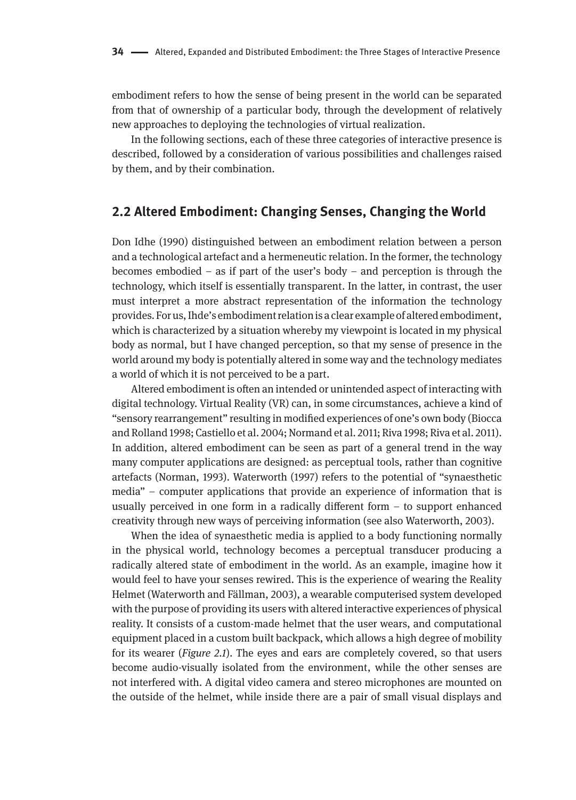embodiment refers to how the sense of being present in the world can be separated from that of ownership of a particular body, through the development of relatively new approaches to deploying the technologies of virtual realization.

In the following sections, each of these three categories of interactive presence is described, followed by a consideration of various possibilities and challenges raised by them, and by their combination.

## **2.2 Altered Embodiment: Changing Senses, Changing the World**

Don Idhe (1990) distinguished between an embodiment relation between a person and a technological artefact and a hermeneutic relation. In the former, the technology becomes embodied – as if part of the user's body – and perception is through the technology, which itself is essentially transparent. In the latter, in contrast, the user must interpret a more abstract representation of the information the technology provides. For us, Ihde's embodiment relation is a clear example of altered embodiment, which is characterized by a situation whereby my viewpoint is located in my physical body as normal, but I have changed perception, so that my sense of presence in the world around my body is potentially altered in some way and the technology mediates a world of which it is not perceived to be a part.

Altered embodiment is often an intended or unintended aspect of interacting with digital technology. Virtual Reality (VR) can, in some circumstances, achieve a kind of "sensory rearrangement" resulting in modified experiences of one's own body (Biocca and Rolland 1998; Castiello et al. 2004; Normand et al. 2011; Riva 1998; Riva et al. 2011). In addition, altered embodiment can be seen as part of a general trend in the way many computer applications are designed: as perceptual tools, rather than cognitive artefacts (Norman, 1993). Waterworth (1997) refers to the potential of "synaesthetic media" – computer applications that provide an experience of information that is usually perceived in one form in a radically different form – to support enhanced creativity through new ways of perceiving information (see also Waterworth, 2003).

When the idea of synaesthetic media is applied to a body functioning normally in the physical world, technology becomes a perceptual transducer producing a radically altered state of embodiment in the world. As an example, imagine how it would feel to have your senses rewired. This is the experience of wearing the Reality Helmet (Waterworth and Fällman, 2003), a wearable computerised system developed with the purpose of providing its users with altered interactive experiences of physical reality. It consists of a custom-made helmet that the user wears, and computational equipment placed in a custom built backpack, which allows a high degree of mobility for its wearer (*Figure 2.1*). The eyes and ears are completely covered, so that users become audio-visually isolated from the environment, while the other senses are not interfered with. A digital video camera and stereo microphones are mounted on the outside of the helmet, while inside there are a pair of small visual displays and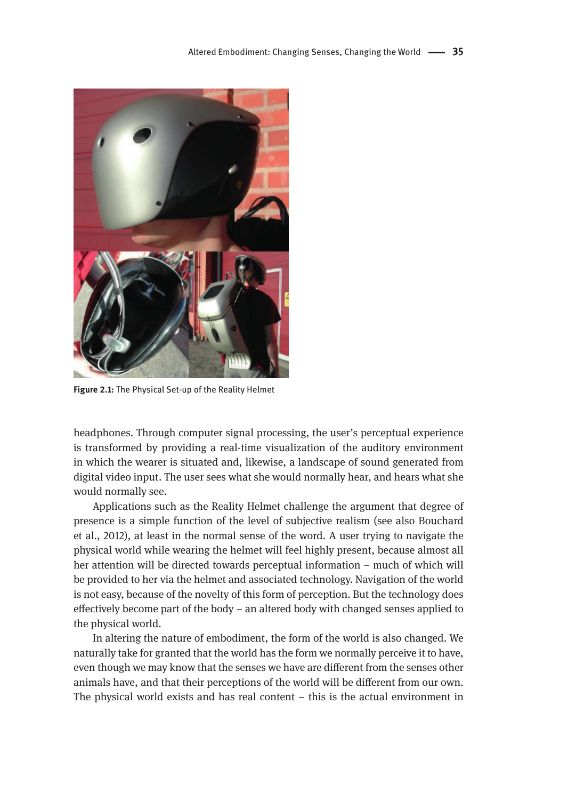

**Figure 2.1:** The Physical Set-up of the Reality Helmet

headphones. Through computer signal processing, the user's perceptual experience is transformed by providing a real-time visualization of the auditory environment in which the wearer is situated and, likewise, a landscape of sound generated from digital video input. The user sees what she would normally hear, and hears what she would normally see.

Applications such as the Reality Helmet challenge the argument that degree of presence is a simple function of the level of subjective realism (see also Bouchard et al., 2012), at least in the normal sense of the word. A user trying to navigate the physical world while wearing the helmet will feel highly present, because almost all her attention will be directed towards perceptual information – much of which will be provided to her via the helmet and associated technology. Navigation of the world is not easy, because of the novelty of this form of perception. But the technology does effectively become part of the body – an altered body with changed senses applied to the physical world.

In altering the nature of embodiment, the form of the world is also changed. We naturally take for granted that the world has the form we normally perceive it to have, even though we may know that the senses we have are different from the senses other animals have, and that their perceptions of the world will be different from our own. The physical world exists and has real content – this is the actual environment in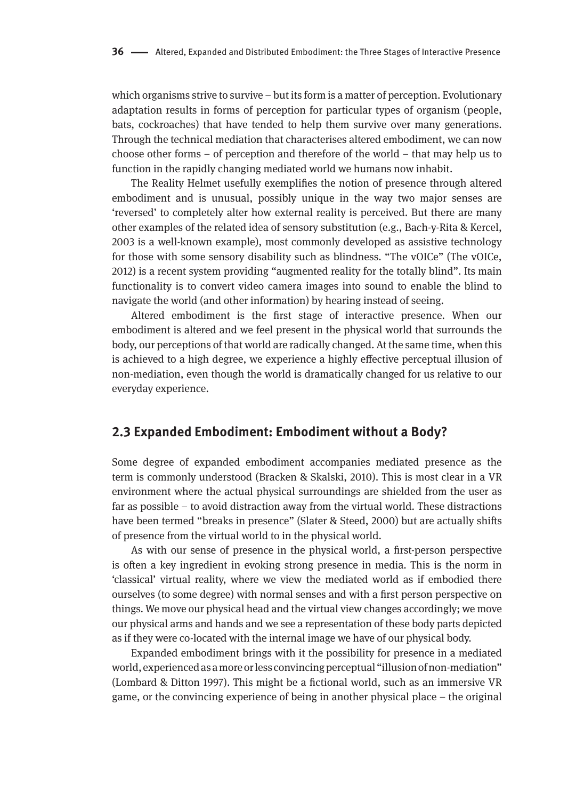which organisms strive to survive – but its form is a matter of perception. Evolutionary adaptation results in forms of perception for particular types of organism (people, bats, cockroaches) that have tended to help them survive over many generations. Through the technical mediation that characterises altered embodiment, we can now choose other forms – of perception and therefore of the world – that may help us to function in the rapidly changing mediated world we humans now inhabit.

The Reality Helmet usefully exemplifies the notion of presence through altered embodiment and is unusual, possibly unique in the way two major senses are 'reversed' to completely alter how external reality is perceived. But there are many other examples of the related idea of sensory substitution (e.g., Bach-y-Rita & Kercel, 2003 is a well-known example), most commonly developed as assistive technology for those with some sensory disability such as blindness. "The vOICe" (The vOICe, 2012) is a recent system providing "augmented reality for the totally blind". Its main functionality is to convert video camera images into sound to enable the blind to navigate the world (and other information) by hearing instead of seeing.

Altered embodiment is the first stage of interactive presence. When our embodiment is altered and we feel present in the physical world that surrounds the body, our perceptions of that world are radically changed. At the same time, when this is achieved to a high degree, we experience a highly effective perceptual illusion of non-mediation, even though the world is dramatically changed for us relative to our everyday experience.

## **2.3 Expanded Embodiment: Embodiment without a Body?**

Some degree of expanded embodiment accompanies mediated presence as the term is commonly understood (Bracken & Skalski, 2010). This is most clear in a VR environment where the actual physical surroundings are shielded from the user as far as possible – to avoid distraction away from the virtual world. These distractions have been termed "breaks in presence" (Slater & Steed, 2000) but are actually shifts of presence from the virtual world to in the physical world.

As with our sense of presence in the physical world, a first-person perspective is often a key ingredient in evoking strong presence in media. This is the norm in 'classical' virtual reality, where we view the mediated world as if embodied there ourselves (to some degree) with normal senses and with a first person perspective on things. We move our physical head and the virtual view changes accordingly; we move our physical arms and hands and we see a representation of these body parts depicted as if they were co-located with the internal image we have of our physical body.

Expanded embodiment brings with it the possibility for presence in a mediated world, experienced as a more or less convincing perceptual "illusion of non-mediation" (Lombard & Ditton 1997). This might be a fictional world, such as an immersive VR game, or the convincing experience of being in another physical place – the original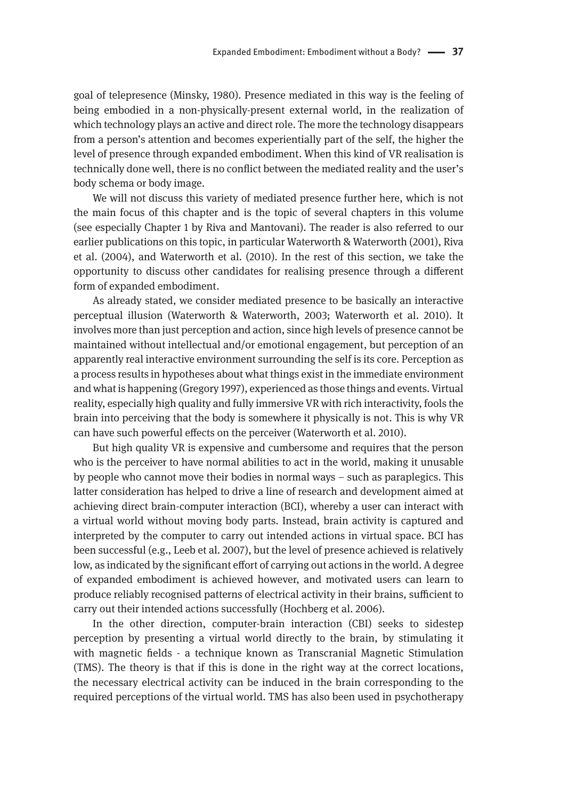goal of telepresence (Minsky, 1980). Presence mediated in this way is the feeling of being embodied in a non-physically-present external world, in the realization of which technology plays an active and direct role. The more the technology disappears from a person's attention and becomes experientially part of the self, the higher the level of presence through expanded embodiment. When this kind of VR realisation is technically done well, there is no conflict between the mediated reality and the user's body schema or body image.

We will not discuss this variety of mediated presence further here, which is not the main focus of this chapter and is the topic of several chapters in this volume (see especially Chapter 1 by Riva and Mantovani). The reader is also referred to our earlier publications on this topic, in particular Waterworth & Waterworth (2001), Riva et al. (2004), and Waterworth et al. (2010). In the rest of this section, we take the opportunity to discuss other candidates for realising presence through a different form of expanded embodiment.

As already stated, we consider mediated presence to be basically an interactive perceptual illusion (Waterworth & Waterworth, 2003; Waterworth et al. 2010). It involves more than just perception and action, since high levels of presence cannot be maintained without intellectual and/or emotional engagement, but perception of an apparently real interactive environment surrounding the self is its core. Perception as a process results in hypotheses about what things exist in the immediate environment and what is happening (Gregory 1997), experienced as those things and events. Virtual reality, especially high quality and fully immersive VR with rich interactivity, fools the brain into perceiving that the body is somewhere it physically is not. This is why VR can have such powerful effects on the perceiver (Waterworth et al. 2010).

But high quality VR is expensive and cumbersome and requires that the person who is the perceiver to have normal abilities to act in the world, making it unusable by people who cannot move their bodies in normal ways – such as paraplegics. This latter consideration has helped to drive a line of research and development aimed at achieving direct brain-computer interaction (BCI), whereby a user can interact with a virtual world without moving body parts. Instead, brain activity is captured and interpreted by the computer to carry out intended actions in virtual space. BCI has been successful (e.g., Leeb et al. 2007), but the level of presence achieved is relatively low, as indicated by the significant effort of carrying out actions in the world. A degree of expanded embodiment is achieved however, and motivated users can learn to produce reliably recognised patterns of electrical activity in their brains, sufficient to carry out their intended actions successfully (Hochberg et al. 2006).

In the other direction, computer-brain interaction (CBI) seeks to sidestep perception by presenting a virtual world directly to the brain, by stimulating it with magnetic fields - a technique known as Transcranial Magnetic Stimulation (TMS). The theory is that if this is done in the right way at the correct locations, the necessary electrical activity can be induced in the brain corresponding to the required perceptions of the virtual world. TMS has also been used in psychotherapy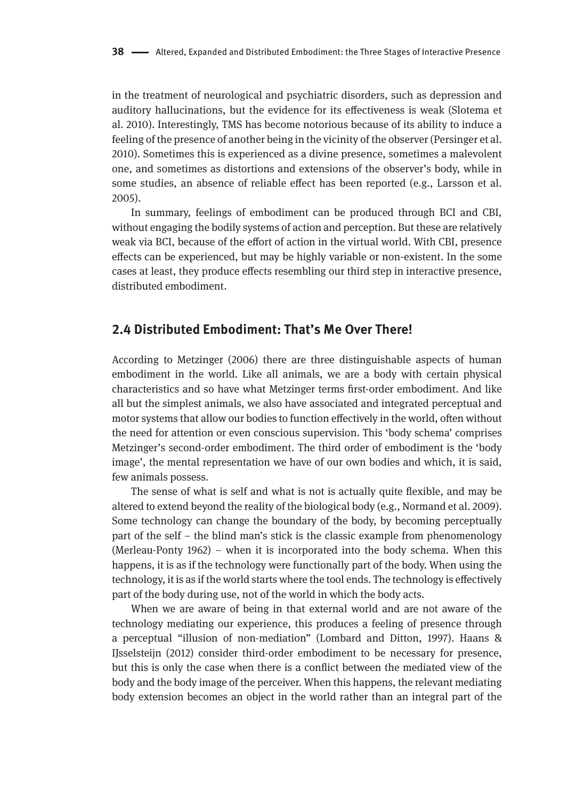in the treatment of neurological and psychiatric disorders, such as depression and auditory hallucinations, but the evidence for its effectiveness is weak (Slotema et al. 2010). Interestingly, TMS has become notorious because of its ability to induce a feeling of the presence of another being in the vicinity of the observer (Persinger et al. 2010). Sometimes this is experienced as a divine presence, sometimes a malevolent one, and sometimes as distortions and extensions of the observer's body, while in some studies, an absence of reliable effect has been reported (e.g., Larsson et al. 2005).

In summary, feelings of embodiment can be produced through BCI and CBI, without engaging the bodily systems of action and perception. But these are relatively weak via BCI, because of the effort of action in the virtual world. With CBI, presence effects can be experienced, but may be highly variable or non-existent. In the some cases at least, they produce effects resembling our third step in interactive presence, distributed embodiment.

## **2.4 Distributed Embodiment: That's Me Over There!**

According to Metzinger (2006) there are three distinguishable aspects of human embodiment in the world. Like all animals, we are a body with certain physical characteristics and so have what Metzinger terms first-order embodiment. And like all but the simplest animals, we also have associated and integrated perceptual and motor systems that allow our bodies to function effectively in the world, often without the need for attention or even conscious supervision. This 'body schema' comprises Metzinger's second-order embodiment. The third order of embodiment is the 'body image', the mental representation we have of our own bodies and which, it is said, few animals possess.

The sense of what is self and what is not is actually quite flexible, and may be altered to extend beyond the reality of the biological body (e.g., Normand et al. 2009). Some technology can change the boundary of the body, by becoming perceptually part of the self – the blind man's stick is the classic example from phenomenology (Merleau-Ponty 1962) – when it is incorporated into the body schema. When this happens, it is as if the technology were functionally part of the body. When using the technology, it is as if the world starts where the tool ends. The technology is effectively part of the body during use, not of the world in which the body acts.

When we are aware of being in that external world and are not aware of the technology mediating our experience, this produces a feeling of presence through a perceptual "illusion of non-mediation" (Lombard and Ditton, 1997). Haans & IJsselsteijn (2012) consider third-order embodiment to be necessary for presence, but this is only the case when there is a conflict between the mediated view of the body and the body image of the perceiver. When this happens, the relevant mediating body extension becomes an object in the world rather than an integral part of the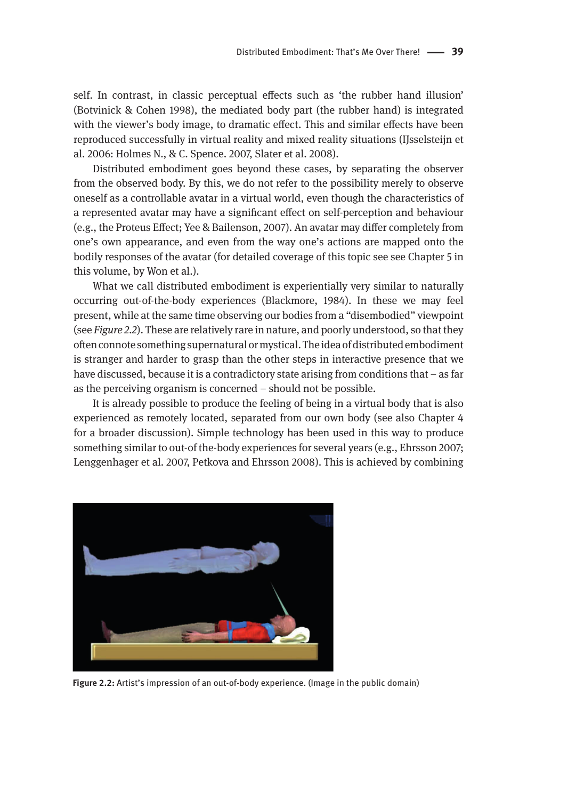self. In contrast, in classic perceptual effects such as 'the rubber hand illusion' (Botvinick & Cohen 1998), the mediated body part (the rubber hand) is integrated with the viewer's body image, to dramatic effect. This and similar effects have been reproduced successfully in virtual reality and mixed reality situations (IJsselsteijn et al. 2006: Holmes N., & C. Spence. 2007, Slater et al. 2008).

Distributed embodiment goes beyond these cases, by separating the observer from the observed body. By this, we do not refer to the possibility merely to observe oneself as a controllable avatar in a virtual world, even though the characteristics of a represented avatar may have a significant effect on self-perception and behaviour (e.g., the Proteus Effect; Yee & Bailenson, 2007). An avatar may differ completely from one's own appearance, and even from the way one's actions are mapped onto the bodily responses of the avatar (for detailed coverage of this topic see see Chapter 5 in this volume, by Won et al.).

What we call distributed embodiment is experientially very similar to naturally occurring out-of-the-body experiences (Blackmore, 1984). In these we may feel present, while at the same time observing our bodies from a "disembodied" viewpoint (see *Figure 2.2*). These are relatively rare in nature, and poorly understood, so that they often connote something supernatural or mystical. The idea of distributed embodiment is stranger and harder to grasp than the other steps in interactive presence that we have discussed, because it is a contradictory state arising from conditions that – as far as the perceiving organism is concerned – should not be possible.

It is already possible to produce the feeling of being in a virtual body that is also experienced as remotely located, separated from our own body (see also Chapter 4 for a broader discussion). Simple technology has been used in this way to produce something similar to out-of the-body experiences for several years (e.g., Ehrsson 2007; Lenggenhager et al. 2007, Petkova and Ehrsson 2008). This is achieved by combining



**Figure 2.2:** Artist's impression of an out-of-body experience. (Image in the public domain)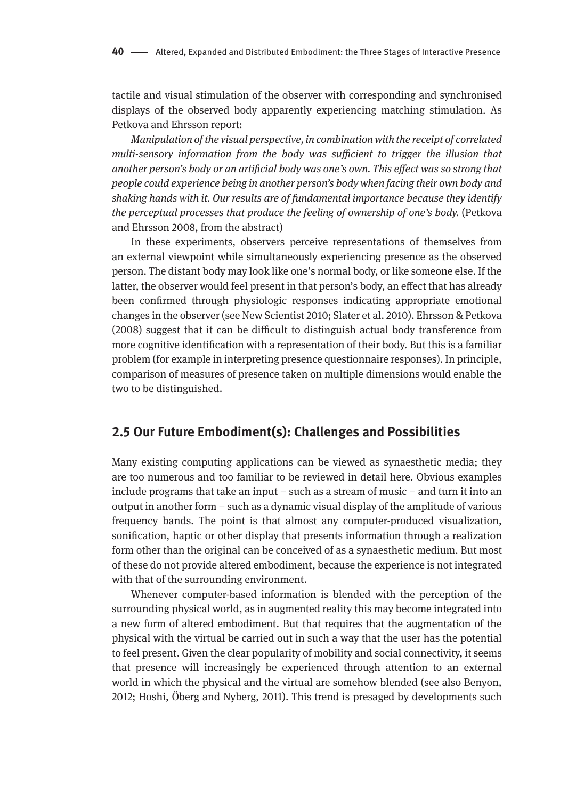tactile and visual stimulation of the observer with corresponding and synchronised displays of the observed body apparently experiencing matching stimulation. As Petkova and Ehrsson report:

*Manipulation of the visual perspective, in combination with the receipt of correlated multi-sensory information from the body was sufficient to trigger the illusion that another person's body or an artificial body was one's own. This effect was so strong that people could experience being in another person's body when facing their own body and shaking hands with it. Our results are of fundamental importance because they identify the perceptual processes that produce the feeling of ownership of one's body.* (Petkova and Ehrsson 2008, from the abstract)

In these experiments, observers perceive representations of themselves from an external viewpoint while simultaneously experiencing presence as the observed person. The distant body may look like one's normal body, or like someone else. If the latter, the observer would feel present in that person's body, an effect that has already been confirmed through physiologic responses indicating appropriate emotional changes in the observer (see New Scientist 2010; Slater et al. 2010). Ehrsson & Petkova (2008) suggest that it can be difficult to distinguish actual body transference from more cognitive identification with a representation of their body. But this is a familiar problem (for example in interpreting presence questionnaire responses). In principle, comparison of measures of presence taken on multiple dimensions would enable the two to be distinguished.

## **2.5 Our Future Embodiment(s): Challenges and Possibilities**

Many existing computing applications can be viewed as synaesthetic media; they are too numerous and too familiar to be reviewed in detail here. Obvious examples include programs that take an input – such as a stream of music – and turn it into an output in another form – such as a dynamic visual display of the amplitude of various frequency bands. The point is that almost any computer-produced visualization, sonification, haptic or other display that presents information through a realization form other than the original can be conceived of as a synaesthetic medium. But most of these do not provide altered embodiment, because the experience is not integrated with that of the surrounding environment.

Whenever computer-based information is blended with the perception of the surrounding physical world, as in augmented reality this may become integrated into a new form of altered embodiment. But that requires that the augmentation of the physical with the virtual be carried out in such a way that the user has the potential to feel present. Given the clear popularity of mobility and social connectivity, it seems that presence will increasingly be experienced through attention to an external world in which the physical and the virtual are somehow blended (see also Benyon, 2012; Hoshi, Öberg and Nyberg, 2011). This trend is presaged by developments such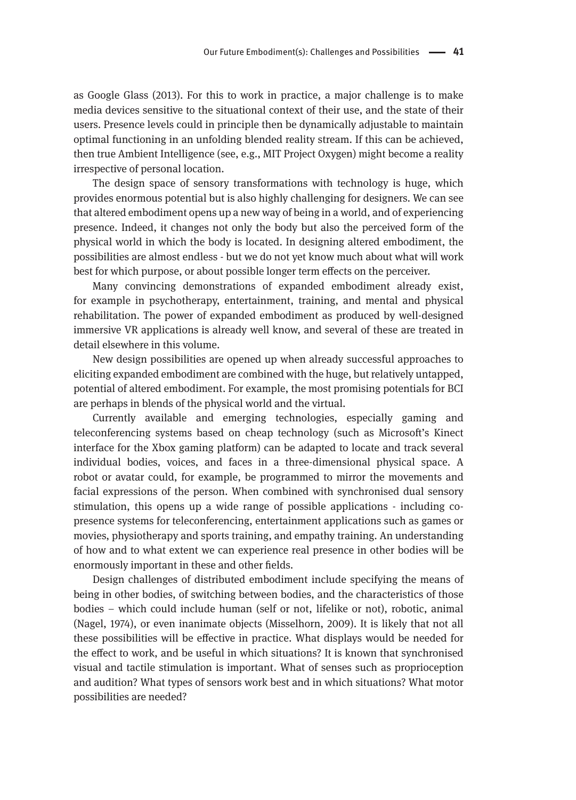as Google Glass (2013). For this to work in practice, a major challenge is to make media devices sensitive to the situational context of their use, and the state of their users. Presence levels could in principle then be dynamically adjustable to maintain optimal functioning in an unfolding blended reality stream. If this can be achieved, then true Ambient Intelligence (see, e.g., MIT Project Oxygen) might become a reality irrespective of personal location.

The design space of sensory transformations with technology is huge, which provides enormous potential but is also highly challenging for designers. We can see that altered embodiment opens up a new way of being in a world, and of experiencing presence. Indeed, it changes not only the body but also the perceived form of the physical world in which the body is located. In designing altered embodiment, the possibilities are almost endless - but we do not yet know much about what will work best for which purpose, or about possible longer term effects on the perceiver.

Many convincing demonstrations of expanded embodiment already exist, for example in psychotherapy, entertainment, training, and mental and physical rehabilitation. The power of expanded embodiment as produced by well-designed immersive VR applications is already well know, and several of these are treated in detail elsewhere in this volume.

New design possibilities are opened up when already successful approaches to eliciting expanded embodiment are combined with the huge, but relatively untapped, potential of altered embodiment. For example, the most promising potentials for BCI are perhaps in blends of the physical world and the virtual.

Currently available and emerging technologies, especially gaming and teleconferencing systems based on cheap technology (such as Microsoft's Kinect interface for the Xbox gaming platform) can be adapted to locate and track several individual bodies, voices, and faces in a three-dimensional physical space. A robot or avatar could, for example, be programmed to mirror the movements and facial expressions of the person. When combined with synchronised dual sensory stimulation, this opens up a wide range of possible applications - including copresence systems for teleconferencing, entertainment applications such as games or movies, physiotherapy and sports training, and empathy training. An understanding of how and to what extent we can experience real presence in other bodies will be enormously important in these and other fields.

Design challenges of distributed embodiment include specifying the means of being in other bodies, of switching between bodies, and the characteristics of those bodies – which could include human (self or not, lifelike or not), robotic, animal (Nagel, 1974), or even inanimate objects (Misselhorn, 2009). It is likely that not all these possibilities will be effective in practice. What displays would be needed for the effect to work, and be useful in which situations? It is known that synchronised visual and tactile stimulation is important. What of senses such as proprioception and audition? What types of sensors work best and in which situations? What motor possibilities are needed?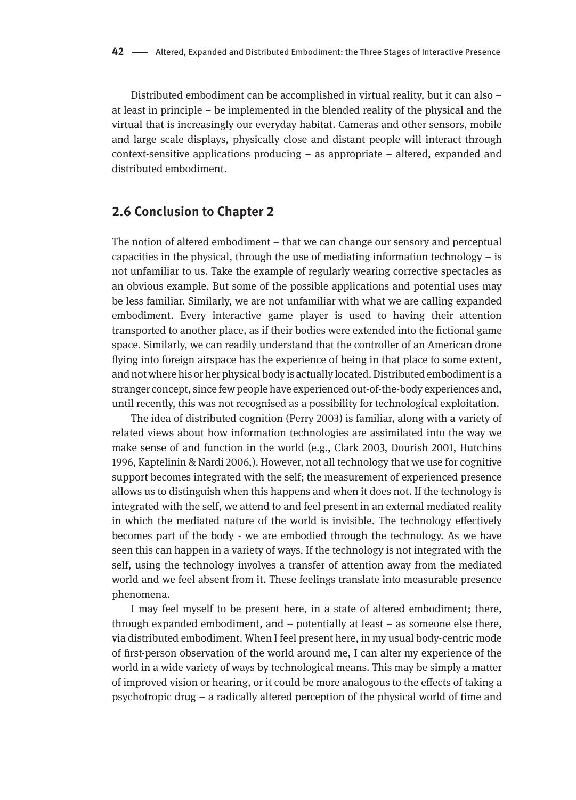Distributed embodiment can be accomplished in virtual reality, but it can also – at least in principle – be implemented in the blended reality of the physical and the virtual that is increasingly our everyday habitat. Cameras and other sensors, mobile and large scale displays, physically close and distant people will interact through context-sensitive applications producing – as appropriate – altered, expanded and distributed embodiment.

#### **2.6 Conclusion to Chapter 2**

The notion of altered embodiment – that we can change our sensory and perceptual capacities in the physical, through the use of mediating information technology  $-$  is not unfamiliar to us. Take the example of regularly wearing corrective spectacles as an obvious example. But some of the possible applications and potential uses may be less familiar. Similarly, we are not unfamiliar with what we are calling expanded embodiment. Every interactive game player is used to having their attention transported to another place, as if their bodies were extended into the fictional game space. Similarly, we can readily understand that the controller of an American drone flying into foreign airspace has the experience of being in that place to some extent, and not where his or her physical body is actually located. Distributed embodiment is a stranger concept, since few people have experienced out-of-the-body experiences and, until recently, this was not recognised as a possibility for technological exploitation.

The idea of distributed cognition (Perry 2003) is familiar, along with a variety of related views about how information technologies are assimilated into the way we make sense of and function in the world (e.g., Clark 2003, Dourish 2001, Hutchins 1996, Kaptelinin & Nardi 2006,). However, not all technology that we use for cognitive support becomes integrated with the self; the measurement of experienced presence allows us to distinguish when this happens and when it does not. If the technology is integrated with the self, we attend to and feel present in an external mediated reality in which the mediated nature of the world is invisible. The technology effectively becomes part of the body - we are embodied through the technology. As we have seen this can happen in a variety of ways. If the technology is not integrated with the self, using the technology involves a transfer of attention away from the mediated world and we feel absent from it. These feelings translate into measurable presence phenomena.

I may feel myself to be present here, in a state of altered embodiment; there, through expanded embodiment, and – potentially at least – as someone else there, via distributed embodiment. When I feel present here, in my usual body-centric mode of first-person observation of the world around me, I can alter my experience of the world in a wide variety of ways by technological means. This may be simply a matter of improved vision or hearing, or it could be more analogous to the effects of taking a psychotropic drug – a radically altered perception of the physical world of time and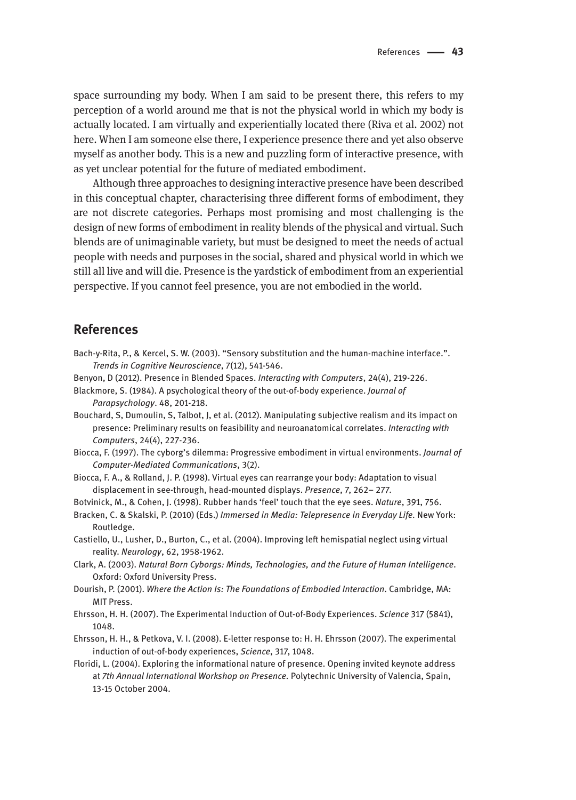space surrounding my body. When I am said to be present there, this refers to my perception of a world around me that is not the physical world in which my body is actually located. I am virtually and experientially located there (Riva et al. 2002) not here. When I am someone else there, I experience presence there and yet also observe myself as another body. This is a new and puzzling form of interactive presence, with as yet unclear potential for the future of mediated embodiment.

Although three approaches to designing interactive presence have been described in this conceptual chapter, characterising three different forms of embodiment, they are not discrete categories. Perhaps most promising and most challenging is the design of new forms of embodiment in reality blends of the physical and virtual. Such blends are of unimaginable variety, but must be designed to meet the needs of actual people with needs and purposes in the social, shared and physical world in which we still all live and will die. Presence is the yardstick of embodiment from an experiential perspective. If you cannot feel presence, you are not embodied in the world.

## **References**

- Bach-y-Rita, P., & Kercel, S. W. (2003). "Sensory substitution and the human-machine interface.". *Trends in Cognitive Neuroscience*, 7(12), 541-546.
- Benyon, D (2012). Presence in Blended Spaces. *Interacting with Computers*, 24(4), 219-226.
- Blackmore, S. (1984). A psychological theory of the out-of-body experience. *Journal of Parapsychology*. 48, 201-218.
- Bouchard, S, Dumoulin, S, Talbot, J, et al. (2012). Manipulating subjective realism and its impact on presence: Preliminary results on feasibility and neuroanatomical correlates. *Interacting with Computers*, 24(4), 227-236.
- Biocca, F. (1997). The cyborg's dilemma: Progressive embodiment in virtual environments. *Journal of Computer-Mediated Communications*, 3(2).
- Biocca, F. A., & Rolland, J. P. (1998). Virtual eyes can rearrange your body: Adaptation to visual displacement in see-through, head-mounted displays. *Presence*, 7, 262– 277.
- Botvinick, M., & Cohen, J. (1998). Rubber hands 'feel' touch that the eye sees. *Nature*, 391, 756.
- Bracken, C. & Skalski, P. (2010) (Eds.) *Immersed in Media: Telepresence in Everyday Life.* New York: Routledge.
- Castiello, U., Lusher, D., Burton, C., et al. (2004). Improving left hemispatial neglect using virtual reality. *Neurology*, 62, 1958-1962.
- Clark, A. (2003). *Natural Born Cyborgs: Minds, Technologies, and the Future of Human Intelligence*. Oxford: Oxford University Press.
- Dourish, P. (2001). *Where the Action Is: The Foundations of Embodied Interaction*. Cambridge, MA: MIT Press.
- Ehrsson, H. H. (2007). The Experimental Induction of Out-of-Body Experiences. *Science* 317 (5841), 1048.
- Ehrsson, H. H., & Petkova, V. I. (2008). E-letter response to: H. H. Ehrsson (2007). The experimental induction of out-of-body experiences, *Science*, 317, 1048.
- Floridi, L. (2004). Exploring the informational nature of presence. Opening invited keynote address at *7th Annual International Workshop on Presence.* Polytechnic University of Valencia, Spain, 13-15 October 2004.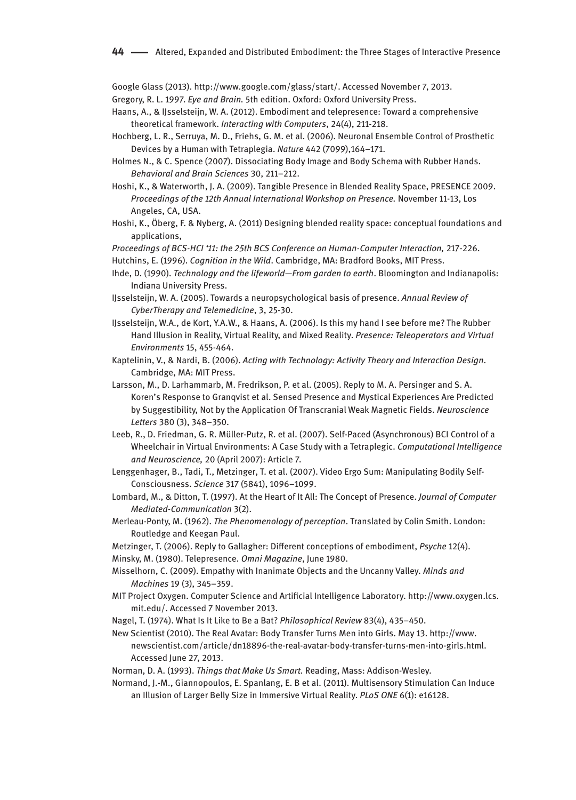Google Glass (2013). http://www.google.com/glass/start/. Accessed November 7, 2013.

Gregory, R. L. 1997. *Eye and Brain.* 5th edition. Oxford: Oxford University Press.

- Haans, A., & IJsselsteijn, W. A. (2012). Embodiment and telepresence: Toward a comprehensive theoretical framework. *Interacting with Computers*, 24(4), 211-218.
- Hochberg, L. R., Serruya, M. D., Friehs, G. M. et al. (2006). Neuronal Ensemble Control of Prosthetic Devices by a Human with Tetraplegia. *Nature* 442 (7099),164–171.
- Holmes N., & C. Spence (2007). Dissociating Body Image and Body Schema with Rubber Hands. *Behavioral and Brain Sciences* 30, 211–212.
- Hoshi, K., & Waterworth, J. A. (2009). Tangible Presence in Blended Reality Space, PRESENCE 2009. *Proceedings of the 12th Annual International Workshop on Presence.* November 11-13, Los Angeles, CA, USA.
- Hoshi, K., Öberg, F. & Nyberg, A. (2011) Designing blended reality space: conceptual foundations and applications,

Proceedings of BCS-HCI '11: the 25th BCS Conference on Human-Computer Interaction, 217-226.

Hutchins, E. (1996). *Cognition in the Wild*. Cambridge, MA: Bradford Books, MIT Press.

- Ihde, D. (1990). *Technology and the lifeworld—From garden to earth*. Bloomington and Indianapolis: Indiana University Press.
- IJsselsteijn, W. A. (2005). Towards a neuropsychological basis of presence. *Annual Review of CyberTherapy and Telemedicine*, 3, 25-30.
- IJsselsteijn, W.A., de Kort, Y.A.W., & Haans, A. (2006). Is this my hand I see before me? The Rubber Hand Illusion in Reality, Virtual Reality, and Mixed Reality. *Presence: Teleoperators and Virtual Environments* 15, 455-464.
- Kaptelinin, V., & Nardi, B. (2006). *Acting with Technology: Activity Theory and Interaction Design*. Cambridge, MA: MIT Press.
- Larsson, M., D. Larhammarb, M. Fredrikson, P. et al. (2005). Reply to M. A. Persinger and S. A. Koren's Response to Granqvist et al. Sensed Presence and Mystical Experiences Are Predicted by Suggestibility, Not by the Application Of Transcranial Weak Magnetic Fields. *Neuroscience Letters* 380 (3), 348–350.
- Leeb, R., D. Friedman, G. R. Müller-Putz, R. et al. (2007). Self-Paced (Asynchronous) BCI Control of a Wheelchair in Virtual Environments: A Case Study with a Tetraplegic. *Computational Intelligence and Neuroscience,* 20 (April 2007): Article 7.
- Lenggenhager, B., Tadi, T., Metzinger, T. et al. (2007). Video Ergo Sum: Manipulating Bodily Self-Consciousness. *Science* 317 (5841), 1096–1099.
- Lombard, M., & Ditton, T. (1997). At the Heart of It All: The Concept of Presence. *Journal of Computer Mediated-Communication* 3(2).
- Merleau-Ponty, M. (1962). *The Phenomenology of perception*. Translated by Colin Smith. London: Routledge and Keegan Paul.
- Metzinger, T. (2006). Reply to Gallagher: Different conceptions of embodiment, *Psyche* 12(4).

Minsky, M. (1980). Telepresence. *Omni Magazine*, June 1980.

- Misselhorn, C. (2009). Empathy with Inanimate Objects and the Uncanny Valley. *Minds and Machines* 19 (3), 345–359.
- MIT Project Oxygen. Computer Science and Artificial Intelligence Laboratory. http://www.oxygen.lcs. mit.edu/. Accessed 7 November 2013.
- Nagel, T. (1974). What Is It Like to Be a Bat? *Philosophical Review* 83(4), 435–450.
- New Scientist (2010). The Real Avatar: Body Transfer Turns Men into Girls. May 13. http://www. newscientist.com/article/dn18896-the-real-avatar-body-transfer-turns-men-into-girls.html. Accessed June 27, 2013.
- Norman, D. A. (1993). *Things that Make Us Smart.* Reading, Mass: Addison-Wesley.
- Normand, J.-M., Giannopoulos, E. Spanlang, E. B et al. (2011). Multisensory Stimulation Can Induce an Illusion of Larger Belly Size in Immersive Virtual Reality. *PLoS ONE* 6(1): e16128.